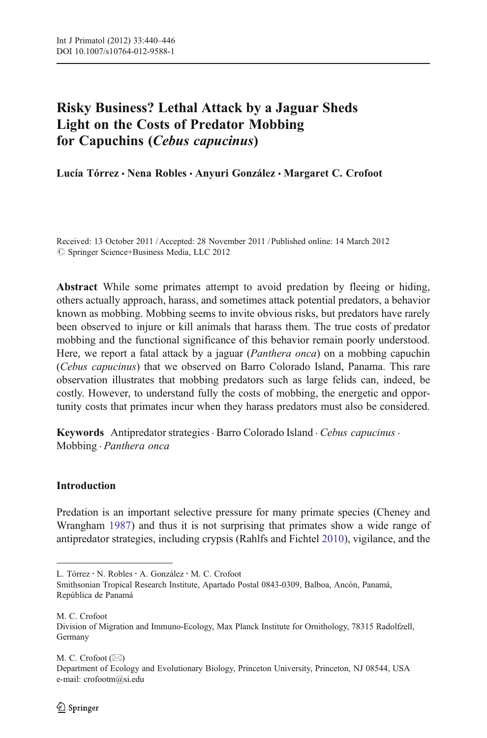# Risky Business? Lethal Attack by a Jaguar Sheds Light on the Costs of Predator Mobbing for Capuchins (Cebus capucinus)

Lucía Tórrez • Nena Robles • Anyuri González • Margaret C. Crofoot

Received: 13 October 2011 / Accepted: 28 November 2011 / Published online: 14 March 2012 © Springer Science+Business Media, LLC 2012

Abstract While some primates attempt to avoid predation by fleeing or hiding, others actually approach, harass, and sometimes attack potential predators, a behavior known as mobbing. Mobbing seems to invite obvious risks, but predators have rarely been observed to injure or kill animals that harass them. The true costs of predator mobbing and the functional significance of this behavior remain poorly understood. Here, we report a fatal attack by a jaguar (*Panthera onca*) on a mobbing capuchin (Cebus capucinus) that we observed on Barro Colorado Island, Panama. This rare observation illustrates that mobbing predators such as large felids can, indeed, be costly. However, to understand fully the costs of mobbing, the energetic and opportunity costs that primates incur when they harass predators must also be considered.

Keywords Antipredator strategies · Barro Colorado Island · Cebus capucinus · Mobbing · Panthera onca

# Introduction

Predation is an important selective pressure for many primate species (Cheney and Wrangham [1987](#page-5-0)) and thus it is not surprising that primates show a wide range of antipredator strategies, including crypsis (Rahlfs and Fichtel [2010\)](#page-6-0), vigilance, and the

M. C. Crofoot

M. C. Crofoot  $(\boxtimes)$ 

L. Tórrez : N. Robles : A. González : M. C. Crofoot

Smithsonian Tropical Research Institute, Apartado Postal 0843-0309, Balboa, Ancón, Panamá, República de Panamá

Division of Migration and Immuno-Ecology, Max Planck Institute for Ornithology, 78315 Radolfzell, Germany

Department of Ecology and Evolutionary Biology, Princeton University, Princeton, NJ 08544, USA e-mail: crofootm@si.edu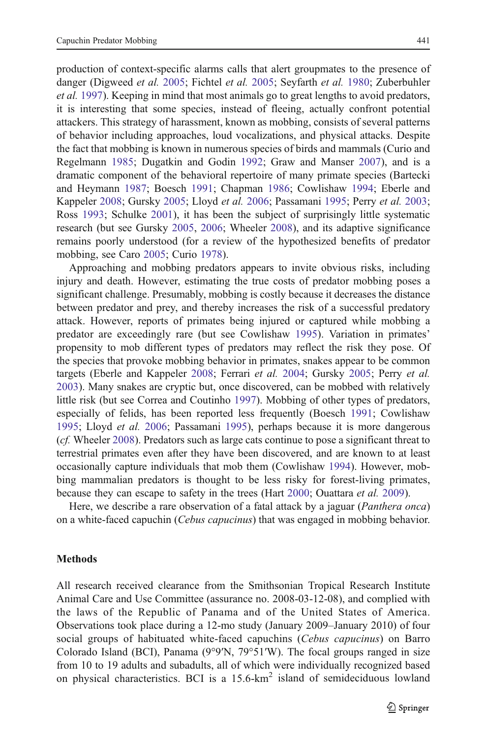production of context-specific alarms calls that alert groupmates to the presence of danger (Digweed et al. [2005](#page-5-0); Fichtel et al. 2005; Seyfarth et al. [1980;](#page-6-0) Zuberbuhler et al. [1997\)](#page-6-0). Keeping in mind that most animals go to great lengths to avoid predators, it is interesting that some species, instead of fleeing, actually confront potential attackers. This strategy of harassment, known as mobbing, consists of several patterns of behavior including approaches, loud vocalizations, and physical attacks. Despite the fact that mobbing is known in numerous species of birds and mammals (Curio and Regelmann [1985;](#page-5-0) Dugatkin and Godin [1992](#page-5-0); Graw and Manser [2007\)](#page-5-0), and is a dramatic component of the behavioral repertoire of many primate species (Bartecki and Heymann [1987](#page-4-0); Boesch [1991;](#page-4-0) Chapman [1986;](#page-5-0) Cowlishaw [1994](#page-5-0); Eberle and Kappeler [2008](#page-5-0); Gursky [2005;](#page-5-0) Lloyd et al. [2006;](#page-5-0) Passamani [1995;](#page-5-0) Perry et al. [2003;](#page-5-0) Ross [1993](#page-6-0); Schulke [2001](#page-6-0)), it has been the subject of surprisingly little systematic research (but see Gursky [2005](#page-5-0), [2006](#page-5-0); Wheeler [2008](#page-6-0)), and its adaptive significance remains poorly understood (for a review of the hypothesized benefits of predator mobbing, see Caro [2005;](#page-5-0) Curio [1978\)](#page-5-0).

Approaching and mobbing predators appears to invite obvious risks, including injury and death. However, estimating the true costs of predator mobbing poses a significant challenge. Presumably, mobbing is costly because it decreases the distance between predator and prey, and thereby increases the risk of a successful predatory attack. However, reports of primates being injured or captured while mobbing a predator are exceedingly rare (but see Cowlishaw [1995\)](#page-5-0). Variation in primates' propensity to mob different types of predators may reflect the risk they pose. Of the species that provoke mobbing behavior in primates, snakes appear to be common targets (Eberle and Kappeler [2008;](#page-5-0) Ferrari et al. [2004](#page-5-0); Gursky [2005](#page-5-0); Perry et al. [2003\)](#page-5-0). Many snakes are cryptic but, once discovered, can be mobbed with relatively little risk (but see Correa and Coutinho [1997](#page-5-0)). Mobbing of other types of predators, especially of felids, has been reported less frequently (Boesch [1991](#page-4-0); Cowlishaw [1995;](#page-5-0) Lloyd et al. [2006;](#page-5-0) Passamani [1995](#page-5-0)), perhaps because it is more dangerous (cf. Wheeler [2008\)](#page-6-0). Predators such as large cats continue to pose a significant threat to terrestrial primates even after they have been discovered, and are known to at least occasionally capture individuals that mob them (Cowlishaw [1994\)](#page-5-0). However, mobbing mammalian predators is thought to be less risky for forest-living primates, because they can escape to safety in the trees (Hart [2000](#page-5-0); Ouattara *et al.* [2009](#page-5-0)).

Here, we describe a rare observation of a fatal attack by a jaguar (Panthera onca) on a white-faced capuchin (Cebus capucinus) that was engaged in mobbing behavior.

#### Methods

All research received clearance from the Smithsonian Tropical Research Institute Animal Care and Use Committee (assurance no. 2008-03-12-08), and complied with the laws of the Republic of Panama and of the United States of America. Observations took place during a 12-mo study (January 2009–January 2010) of four social groups of habituated white-faced capuchins (Cebus capucinus) on Barro Colorado Island (BCI), Panama (9°9′N, 79°51′W). The focal groups ranged in size from 10 to 19 adults and subadults, all of which were individually recognized based on physical characteristics. BCI is a  $15.6 \text{--} \text{km}^2$  island of semideciduous lowland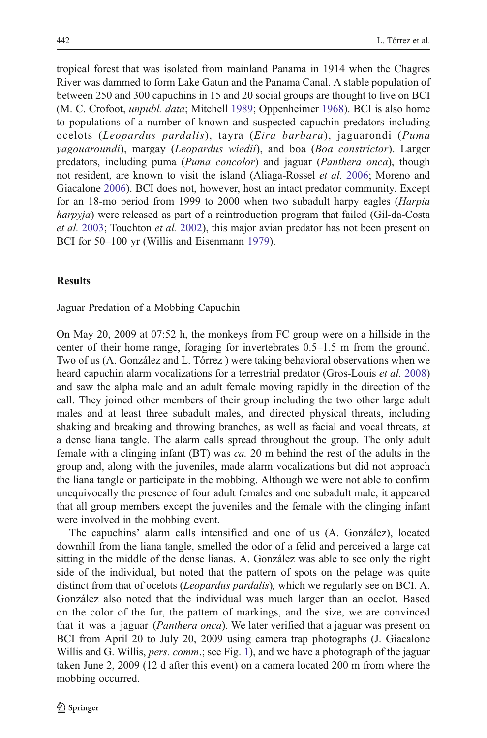tropical forest that was isolated from mainland Panama in 1914 when the Chagres River was dammed to form Lake Gatun and the Panama Canal. A stable population of between 250 and 300 capuchins in 15 and 20 social groups are thought to live on BCI (M. C. Crofoot, unpubl. data; Mitchell [1989](#page-5-0); Oppenheimer [1968\)](#page-5-0). BCI is also home to populations of a number of known and suspected capuchin predators including ocelots (Leopardus pardalis), tayra (Eira barbara), jaguarondi (Puma yagouaroundi), margay (Leopardus wiedii), and boa (Boa constrictor). Larger predators, including puma (Puma concolor) and jaguar (Panthera onca), though not resident, are known to visit the island (Aliaga-Rossel *et al.* [2006;](#page-4-0) Moreno and Giacalone [2006\)](#page-5-0). BCI does not, however, host an intact predator community. Except for an 18-mo period from 1999 to 2000 when two subadult harpy eagles (Harpia harpyja) were released as part of a reintroduction program that failed (Gil-da-Costa et al. [2003;](#page-5-0) Touchton et al. [2002\)](#page-6-0), this major avian predator has not been present on BCI for 50–100 yr (Willis and Eisenmann [1979](#page-6-0)).

#### Results

Jaguar Predation of a Mobbing Capuchin

On May 20, 2009 at 07:52 h, the monkeys from FC group were on a hillside in the center of their home range, foraging for invertebrates 0.5–1.5 m from the ground. Two of us (A. González and L. Tórrez ) were taking behavioral observations when we heard capuchin alarm vocalizations for a terrestrial predator (Gros-Louis et al. [2008](#page-5-0)) and saw the alpha male and an adult female moving rapidly in the direction of the call. They joined other members of their group including the two other large adult males and at least three subadult males, and directed physical threats, including shaking and breaking and throwing branches, as well as facial and vocal threats, at a dense liana tangle. The alarm calls spread throughout the group. The only adult female with a clinging infant (BT) was ca. 20 m behind the rest of the adults in the group and, along with the juveniles, made alarm vocalizations but did not approach the liana tangle or participate in the mobbing. Although we were not able to confirm unequivocally the presence of four adult females and one subadult male, it appeared that all group members except the juveniles and the female with the clinging infant were involved in the mobbing event.

The capuchins' alarm calls intensified and one of us (A. González), located downhill from the liana tangle, smelled the odor of a felid and perceived a large cat sitting in the middle of the dense lianas. A. González was able to see only the right side of the individual, but noted that the pattern of spots on the pelage was quite distinct from that of ocelots *(Leopardus pardalis)*, which we regularly see on BCI. A. González also noted that the individual was much larger than an ocelot. Based on the color of the fur, the pattern of markings, and the size, we are convinced that it was a jaguar *(Panthera onca)*. We later verified that a jaguar was present on BCI from April 20 to July 20, 2009 using camera trap photographs (J. Giacalone Willis and G. Willis, *pers. comm*.; see Fig. [1](#page-3-0)), and we have a photograph of the jaguar taken June 2, 2009 (12 d after this event) on a camera located 200 m from where the mobbing occurred.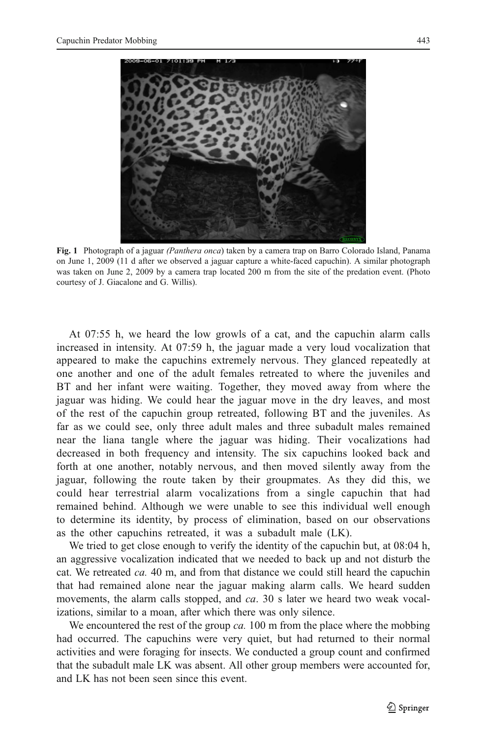<span id="page-3-0"></span>

Fig. 1 Photograph of a jaguar (Panthera onca) taken by a camera trap on Barro Colorado Island, Panama on June 1, 2009 (11 d after we observed a jaguar capture a white-faced capuchin). A similar photograph was taken on June 2, 2009 by a camera trap located 200 m from the site of the predation event. (Photo courtesy of J. Giacalone and G. Willis).

At 07:55 h, we heard the low growls of a cat, and the capuchin alarm calls increased in intensity. At 07:59 h, the jaguar made a very loud vocalization that appeared to make the capuchins extremely nervous. They glanced repeatedly at one another and one of the adult females retreated to where the juveniles and BT and her infant were waiting. Together, they moved away from where the jaguar was hiding. We could hear the jaguar move in the dry leaves, and most of the rest of the capuchin group retreated, following BT and the juveniles. As far as we could see, only three adult males and three subadult males remained near the liana tangle where the jaguar was hiding. Their vocalizations had decreased in both frequency and intensity. The six capuchins looked back and forth at one another, notably nervous, and then moved silently away from the jaguar, following the route taken by their groupmates. As they did this, we could hear terrestrial alarm vocalizations from a single capuchin that had remained behind. Although we were unable to see this individual well enough to determine its identity, by process of elimination, based on our observations as the other capuchins retreated, it was a subadult male (LK).

We tried to get close enough to verify the identity of the capuchin but, at 08:04 h, an aggressive vocalization indicated that we needed to back up and not disturb the cat. We retreated ca. 40 m, and from that distance we could still heard the capuchin that had remained alone near the jaguar making alarm calls. We heard sudden movements, the alarm calls stopped, and *ca*. 30 s later we heard two weak vocalizations, similar to a moan, after which there was only silence.

We encountered the rest of the group  $ca$ . 100 m from the place where the mobbing had occurred. The capuchins were very quiet, but had returned to their normal activities and were foraging for insects. We conducted a group count and confirmed that the subadult male LK was absent. All other group members were accounted for, and LK has not been seen since this event.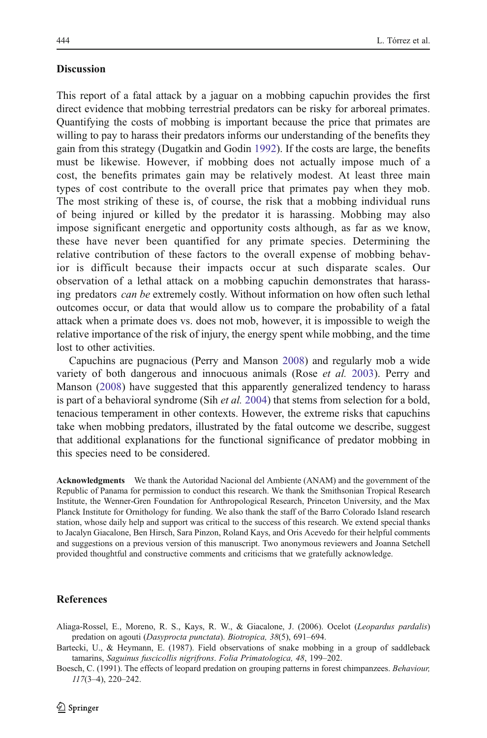## <span id="page-4-0"></span>**Discussion**

This report of a fatal attack by a jaguar on a mobbing capuchin provides the first direct evidence that mobbing terrestrial predators can be risky for arboreal primates. Quantifying the costs of mobbing is important because the price that primates are willing to pay to harass their predators informs our understanding of the benefits they gain from this strategy (Dugatkin and Godin [1992\)](#page-5-0). If the costs are large, the benefits must be likewise. However, if mobbing does not actually impose much of a cost, the benefits primates gain may be relatively modest. At least three main types of cost contribute to the overall price that primates pay when they mob. The most striking of these is, of course, the risk that a mobbing individual runs of being injured or killed by the predator it is harassing. Mobbing may also impose significant energetic and opportunity costs although, as far as we know, these have never been quantified for any primate species. Determining the relative contribution of these factors to the overall expense of mobbing behavior is difficult because their impacts occur at such disparate scales. Our observation of a lethal attack on a mobbing capuchin demonstrates that harassing predators *can be* extremely costly. Without information on how often such lethal outcomes occur, or data that would allow us to compare the probability of a fatal attack when a primate does vs. does not mob, however, it is impossible to weigh the relative importance of the risk of injury, the energy spent while mobbing, and the time lost to other activities.

Capuchins are pugnacious (Perry and Manson [2008](#page-5-0)) and regularly mob a wide variety of both dangerous and innocuous animals (Rose et al. [2003\)](#page-6-0). Perry and Manson ([2008\)](#page-5-0) have suggested that this apparently generalized tendency to harass is part of a behavioral syndrome (Sih *et al.* [2004](#page-6-0)) that stems from selection for a bold, tenacious temperament in other contexts. However, the extreme risks that capuchins take when mobbing predators, illustrated by the fatal outcome we describe, suggest that additional explanations for the functional significance of predator mobbing in this species need to be considered.

Acknowledgments We thank the Autoridad Nacional del Ambiente (ANAM) and the government of the Republic of Panama for permission to conduct this research. We thank the Smithsonian Tropical Research Institute, the Wenner-Gren Foundation for Anthropological Research, Princeton University, and the Max Planck Institute for Ornithology for funding. We also thank the staff of the Barro Colorado Island research station, whose daily help and support was critical to the success of this research. We extend special thanks to Jacalyn Giacalone, Ben Hirsch, Sara Pinzon, Roland Kays, and Oris Acevedo for their helpful comments and suggestions on a previous version of this manuscript. Two anonymous reviewers and Joanna Setchell provided thoughtful and constructive comments and criticisms that we gratefully acknowledge.

### References

- Aliaga-Rossel, E., Moreno, R. S., Kays, R. W., & Giacalone, J. (2006). Ocelot (Leopardus pardalis) predation on agouti (Dasyprocta punctata). Biotropica, 38(5), 691–694.
- Bartecki, U., & Heymann, E. (1987). Field observations of snake mobbing in a group of saddleback tamarins, Saguinus fuscicollis nigrifrons. Folia Primatologica, 48, 199–202.
- Boesch, C. (1991). The effects of leopard predation on grouping patterns in forest chimpanzees. Behaviour, 117(3–4), 220–242.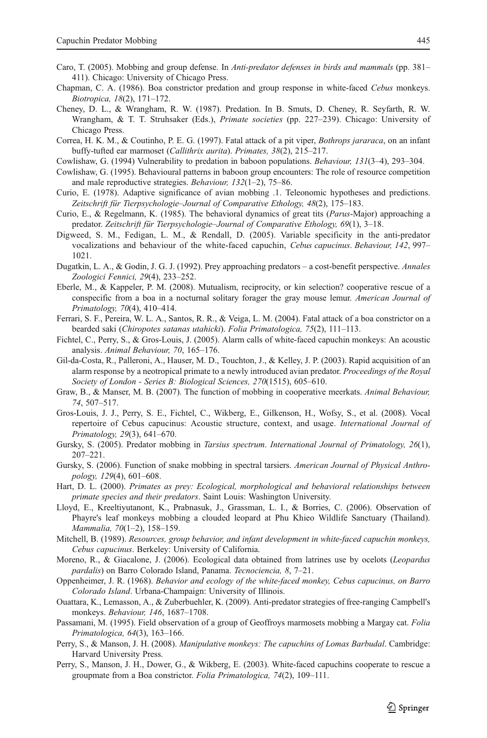- <span id="page-5-0"></span>Caro, T. (2005). Mobbing and group defense. In Anti-predator defenses in birds and mammals (pp. 381– 411). Chicago: University of Chicago Press.
- Chapman, C. A. (1986). Boa constrictor predation and group response in white-faced Cebus monkeys. Biotropica, 18(2), 171–172.
- Cheney, D. L., & Wrangham, R. W. (1987). Predation. In B. Smuts, D. Cheney, R. Seyfarth, R. W. Wrangham, & T. T. Struhsaker (Eds.), *Primate societies* (pp. 227–239). Chicago: University of Chicago Press.
- Correa, H. K. M., & Coutinho, P. E. G. (1997). Fatal attack of a pit viper, Bothrops jararaca, on an infant buffy-tufted ear marmoset (Callithrix aurita). Primates, 38(2), 215–217.
- Cowlishaw, G. (1994) Vulnerability to predation in baboon populations. Behaviour, 131(3–4), 293–304.
- Cowlishaw, G. (1995). Behavioural patterns in baboon group encounters: The role of resource competition and male reproductive strategies. Behaviour, 132(1–2), 75–86.
- Curio, E. (1978). Adaptive significance of avian mobbing .1. Teleonomic hypotheses and predictions. Zeitschrift für Tierpsychologie–Journal of Comparative Ethology, 48(2), 175–183.
- Curio, E., & Regelmann, K. (1985). The behavioral dynamics of great tits (Parus-Major) approaching a predator. Zeitschrift für Tierpsychologie–Journal of Comparative Ethology, 69(1), 3–18.
- Digweed, S. M., Fedigan, L. M., & Rendall, D. (2005). Variable specificity in the anti-predator vocalizations and behaviour of the white-faced capuchin, Cebus capucinus. Behaviour, 142, 997– 1021.
- Dugatkin, L. A., & Godin, J. G. J. (1992). Prey approaching predators a cost-benefit perspective. Annales Zoologici Fennici, 29(4), 233–252.
- Eberle, M., & Kappeler, P. M. (2008). Mutualism, reciprocity, or kin selection? cooperative rescue of a conspecific from a boa in a nocturnal solitary forager the gray mouse lemur. American Journal of Primatology, 70(4), 410–414.
- Ferrari, S. F., Pereira, W. L. A., Santos, R. R., & Veiga, L. M. (2004). Fatal attack of a boa constrictor on a bearded saki (Chiropotes satanas utahicki). Folia Primatologica, 75(2), 111–113.
- Fichtel, C., Perry, S., & Gros-Louis, J. (2005). Alarm calls of white-faced capuchin monkeys: An acoustic analysis. Animal Behaviour, 70, 165–176.
- Gil-da-Costa, R., Palleroni, A., Hauser, M. D., Touchton, J., & Kelley, J. P. (2003). Rapid acquisition of an alarm response by a neotropical primate to a newly introduced avian predator. Proceedings of the Royal Society of London - Series B: Biological Sciences, 270(1515), 605–610.
- Graw, B., & Manser, M. B. (2007). The function of mobbing in cooperative meerkats. Animal Behaviour, 74, 507–517.
- Gros-Louis, J. J., Perry, S. E., Fichtel, C., Wikberg, E., Gilkenson, H., Wofsy, S., et al. (2008). Vocal repertoire of Cebus capucinus: Acoustic structure, context, and usage. International Journal of Primatology, 29(3), 641–670.
- Gursky, S. (2005). Predator mobbing in Tarsius spectrum. International Journal of Primatology, 26(1), 207–221.
- Gursky, S. (2006). Function of snake mobbing in spectral tarsiers. American Journal of Physical Anthropology, 129(4), 601–608.
- Hart, D. L. (2000). Primates as prey: Ecological, morphological and behavioral relationships between primate species and their predators. Saint Louis: Washington University.
- Lloyd, E., Kreeltiyutanont, K., Prabnasuk, J., Grassman, L. I., & Borries, C. (2006). Observation of Phayre's leaf monkeys mobbing a clouded leopard at Phu Khieo Wildlife Sanctuary (Thailand). Mammalia, 70(1–2), 158–159.
- Mitchell, B. (1989). Resources, group behavior, and infant development in white-faced capuchin monkeys, Cebus capucinus. Berkeley: University of California.
- Moreno, R., & Giacalone, J. (2006). Ecological data obtained from latrines use by ocelots (Leopardus pardalis) on Barro Colorado Island, Panama. Tecnociencia, 8, 7–21.
- Oppenheimer, J. R. (1968). Behavior and ecology of the white-faced monkey, Cebus capucinus, on Barro Colorado Island. Urbana-Champaign: University of Illinois.
- Ouattara, K., Lemasson, A., & Zuberbuehler, K. (2009). Anti-predator strategies of free-ranging Campbell's monkeys. Behaviour, 146, 1687–1708.
- Passamani, M. (1995). Field observation of a group of Geoffroys marmosets mobbing a Margay cat. Folia Primatologica, 64(3), 163–166.
- Perry, S., & Manson, J. H. (2008). Manipulative monkeys: The capuchins of Lomas Barbudal. Cambridge: Harvard University Press.
- Perry, S., Manson, J. H., Dower, G., & Wikberg, E. (2003). White-faced capuchins cooperate to rescue a groupmate from a Boa constrictor. Folia Primatologica, 74(2), 109–111.